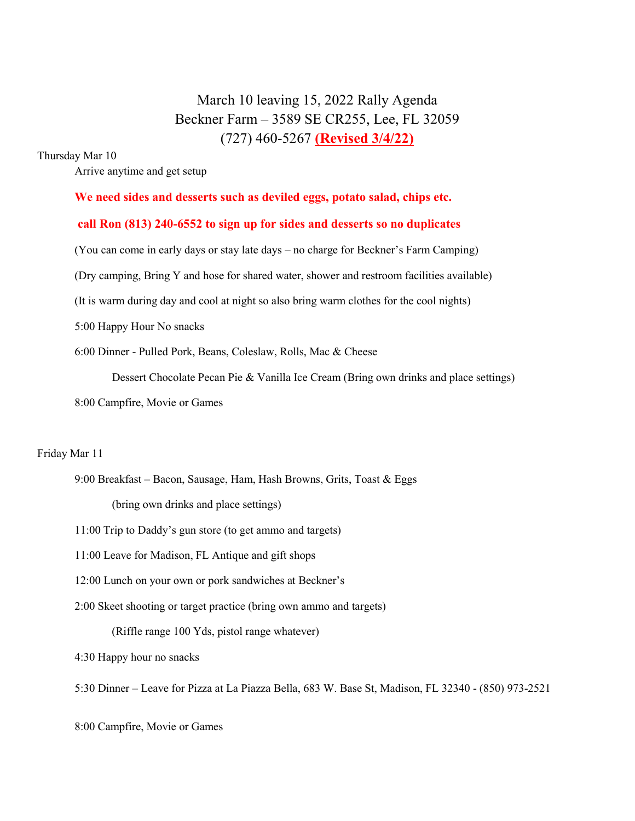# March 10 leaving 15, 2022 Rally Agenda Beckner Farm – 3589 SE CR255, Lee, FL 32059 (727) 460-5267 (Revised 3/4/22)

## Thursday Mar 10

Arrive anytime and get setup

## We need sides and desserts such as deviled eggs, potato salad, chips etc.

## call Ron (813) 240-6552 to sign up for sides and desserts so no duplicates

(You can come in early days or stay late days – no charge for Beckner's Farm Camping)

(Dry camping, Bring Y and hose for shared water, shower and restroom facilities available)

(It is warm during day and cool at night so also bring warm clothes for the cool nights)

5:00 Happy Hour No snacks

6:00 Dinner - Pulled Pork, Beans, Coleslaw, Rolls, Mac & Cheese

Dessert Chocolate Pecan Pie & Vanilla Ice Cream (Bring own drinks and place settings)

8:00 Campfire, Movie or Games

## Friday Mar 11

 9:00 Breakfast – Bacon, Sausage, Ham, Hash Browns, Grits, Toast & Eggs (bring own drinks and place settings)

11:00 Trip to Daddy's gun store (to get ammo and targets)

11:00 Leave for Madison, FL Antique and gift shops

12:00 Lunch on your own or pork sandwiches at Beckner's

2:00 Skeet shooting or target practice (bring own ammo and targets)

(Riffle range 100 Yds, pistol range whatever)

4:30 Happy hour no snacks

5:30 Dinner – Leave for Pizza at La Piazza Bella, 683 W. Base St, Madison, FL 32340 - (850) 973-2521

8:00 Campfire, Movie or Games